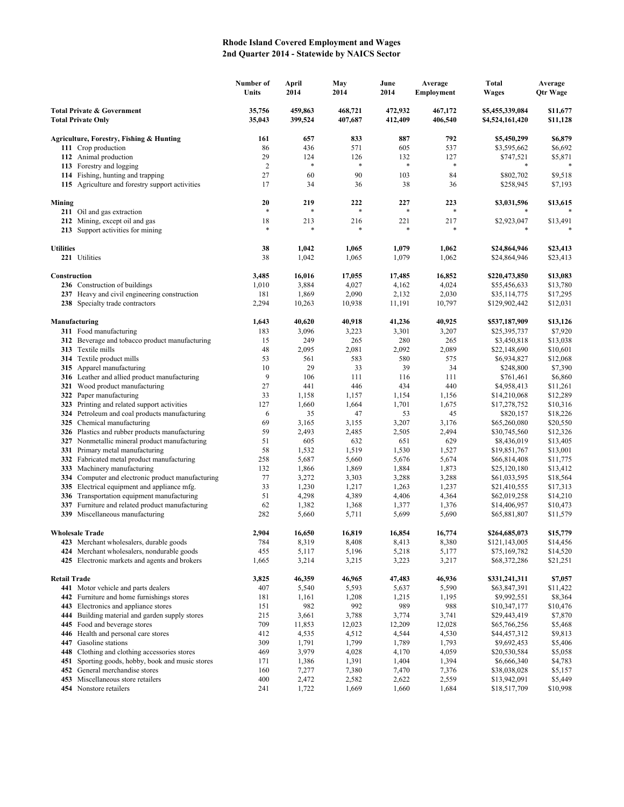## **Rhode Island Covered Employment and Wages 2nd Quarter 2014 - Statewide by NAICS Sector**

|                                                                    |                                                                                             | Number of<br>Units | April<br>2014      | May<br>2014        | June<br>2014       | Average<br>Employment | <b>Total</b><br>Wages              | Average<br><b>Qtr Wage</b> |
|--------------------------------------------------------------------|---------------------------------------------------------------------------------------------|--------------------|--------------------|--------------------|--------------------|-----------------------|------------------------------------|----------------------------|
| <b>Total Private &amp; Government</b><br><b>Total Private Only</b> |                                                                                             | 35,756<br>35,043   | 459,863<br>399,524 | 468,721<br>407,687 | 472,932<br>412,409 | 467,172<br>406,540    | \$5,455,339,084<br>\$4,524,161,420 | \$11,677<br>\$11,128       |
|                                                                    | Agriculture, Forestry, Fishing & Hunting                                                    | 161                | 657                | 833                | 887                | 792                   | \$5,450,299                        | \$6,879                    |
|                                                                    | 111 Crop production                                                                         | 86                 | 436                | 571                | 605                | 537                   | \$3,595,662                        | \$6,692                    |
|                                                                    | 112 Animal production                                                                       | 29                 | 124                | 126                | 132                | 127                   | \$747,521                          | \$5,871                    |
|                                                                    | 113 Forestry and logging                                                                    | $\overline{2}$     | $\ast$             | $\ast$             | $\ast$             | $\ast$                | *                                  |                            |
|                                                                    | 114 Fishing, hunting and trapping                                                           | 27                 | 60                 | 90                 | 103                | 84                    | \$802,702                          | \$9,518                    |
|                                                                    | 115 Agriculture and forestry support activities                                             | 17                 | 34                 | 36                 | 38                 | 36                    | \$258,945                          | \$7,193                    |
| Mining                                                             |                                                                                             | 20<br>$\ast$       | 219<br>*           | 222<br>$\ast$      | 227<br>$\ast$      | 223                   | \$3,031,596                        | \$13,615                   |
|                                                                    | 211 Oil and gas extraction                                                                  |                    |                    |                    |                    |                       |                                    |                            |
|                                                                    | 212 Mining, except oil and gas                                                              | 18<br>$\ast$       | 213<br>*           | 216                | 221<br>$\ast$      | 217                   | \$2,923,047<br>*                   | \$13,491                   |
|                                                                    | 213 Support activities for mining                                                           |                    |                    |                    |                    |                       |                                    |                            |
| <b>Utilities</b>                                                   |                                                                                             | 38                 | 1,042              | 1,065              | 1,079              | 1,062                 | \$24,864,946                       | \$23,413                   |
|                                                                    | 221 Utilities                                                                               | 38                 | 1,042              | 1,065              | 1,079              | 1,062                 | \$24,864,946                       | \$23,413                   |
| Construction                                                       |                                                                                             | 3,485              | 16,016             | 17,055             | 17,485             | 16,852                | \$220,473,850                      | \$13,083                   |
|                                                                    | 236 Construction of buildings                                                               | 1,010              | 3,884              | 4,027              | 4,162              | 4,024                 | \$55,456,633                       | \$13,780                   |
|                                                                    | 237 Heavy and civil engineering construction                                                | 181                | 1,869              | 2,090              | 2,132              | 2,030                 | \$35,114,775                       | \$17,295                   |
|                                                                    | 238 Specialty trade contractors                                                             | 2,294              | 10,263             | 10,938             | 11,191             | 10,797                | \$129,902,442                      | \$12,031                   |
|                                                                    | Manufacturing                                                                               | 1,643              | 40,620             | 40,918             | 41,236             | 40,925                | \$537,187,909                      | \$13,126                   |
|                                                                    | 311 Food manufacturing                                                                      | 183                | 3,096              | 3,223              | 3,301              | 3,207                 | \$25,395,737                       | \$7,920                    |
|                                                                    | 312 Beverage and tobacco product manufacturing                                              | 15                 | 249                | 265                | 280                | 265                   | \$3,450,818                        | \$13,038                   |
|                                                                    | 313 Textile mills                                                                           | 48                 | 2,095              | 2,081              | 2,092              | 2,089                 | \$22,148,690                       | \$10,601                   |
|                                                                    | <b>314</b> Textile product mills                                                            | 53                 | 561                | 583                | 580                | 575                   | \$6,934,827                        | \$12,068                   |
|                                                                    | 315 Apparel manufacturing                                                                   | 10                 | 29                 | 33                 | 39                 | 34                    | \$248,800                          | \$7,390                    |
|                                                                    | 316 Leather and allied product manufacturing                                                | 9                  | 106                | 111                | 116                | 111                   | \$761,461                          | \$6,860                    |
|                                                                    | 321 Wood product manufacturing                                                              | 27                 | 441                | 446                | 434                | 440                   | \$4,958,413                        | \$11,261                   |
| 322                                                                | Paper manufacturing                                                                         | 33                 | 1,158              | 1,157              | 1,154              | 1,156                 | \$14,210,068                       | \$12,289                   |
| 323                                                                | Printing and related support activities                                                     | 127                | 1,660              | 1,664              | 1,701              | 1,675                 | \$17,278,752                       | \$10,316                   |
|                                                                    | 324 Petroleum and coal products manufacturing<br>325 Chemical manufacturing                 | 6<br>69            | 35<br>3,165        | 47                 | 53                 | 45<br>3,176           | \$820,157                          | \$18,226                   |
|                                                                    | 326 Plastics and rubber products manufacturing                                              | 59                 | 2,493              | 3,155<br>2,485     | 3,207<br>2,505     | 2,494                 | \$65,260,080<br>\$30,745,560       | \$20,550<br>\$12,326       |
|                                                                    | 327 Nonmetallic mineral product manufacturing                                               | 51                 | 605                | 632                | 651                | 629                   | \$8,436,019                        | \$13,405                   |
|                                                                    | 331 Primary metal manufacturing                                                             | 58                 | 1,532              | 1,519              | 1,530              | 1,527                 | \$19,851,767                       | \$13,001                   |
|                                                                    | 332 Fabricated metal product manufacturing                                                  | 258                | 5,687              | 5,660              | 5,676              | 5,674                 | \$66,814,408                       | \$11,775                   |
| 333                                                                | Machinery manufacturing                                                                     | 132                | 1,866              | 1,869              | 1,884              | 1,873                 | \$25,120,180                       | \$13,412                   |
| 334                                                                | Computer and electronic product manufacturing                                               | 77                 | 3,272              | 3,303              | 3,288              | 3,288                 | \$61,033,595                       | \$18,564                   |
|                                                                    | 335 Electrical equipment and appliance mfg.                                                 | 33                 | 1,230              | 1,217              | 1,263              | 1,237                 | \$21,410,555                       | \$17,313                   |
|                                                                    | 336 Transportation equipment manufacturing                                                  | 51                 | 4,298              | 4,389              | 4,406              | 4,364                 | \$62,019,258                       | \$14,210                   |
| 337                                                                | Furniture and related product manufacturing                                                 | 62                 | 1,382              | 1,368              | 1,377              | 1,376                 | \$14,406,957                       | \$10,473                   |
|                                                                    | 339 Miscellaneous manufacturing                                                             | 282                | 5,660              | 5,711              | 5,699              | 5,690                 | \$65,881,807                       | \$11,579                   |
| <b>Wholesale Trade</b>                                             |                                                                                             | 2.904              | 16,650             | 16,819             | 16,854             | 16,774                | \$264,685,073                      | \$15,779                   |
|                                                                    | 423 Merchant wholesalers, durable goods                                                     | 784                | 8,319              | 8,408              | 8,413              | 8,380                 | \$121,143,005                      | \$14,456                   |
|                                                                    | 424 Merchant wholesalers, nondurable goods<br>425 Electronic markets and agents and brokers | 455<br>1,665       | 5,117<br>3,214     | 5,196<br>3,215     | 5,218<br>3,223     | 5,177<br>3,217        | \$75,169,782<br>\$68,372,286       | \$14,520<br>\$21,251       |
|                                                                    |                                                                                             |                    |                    |                    |                    |                       |                                    |                            |
| <b>Retail Trade</b>                                                |                                                                                             | 3,825              | 46,359             | 46,965             | 47,483             | 46,936                | \$331,241,311                      | \$7,057                    |
|                                                                    | 441 Motor vehicle and parts dealers                                                         | 407                | 5,540              | 5,593              | 5,637              | 5,590                 | \$63,847,391                       | \$11,422                   |
|                                                                    | 442 Furniture and home furnishings stores                                                   | 181                | 1,161              | 1,208              | 1,215              | 1,195                 | \$9,992,551                        | \$8,364                    |
|                                                                    | 443 Electronics and appliance stores<br>444 Building material and garden supply stores      | 151<br>215         | 982<br>3,661       | 992<br>3,788       | 989<br>3,774       | 988<br>3,741          | \$10,347,177                       | \$10,476<br>\$7,870        |
|                                                                    | 445 Food and beverage stores                                                                | 709                | 11,853             | 12,023             | 12,209             | 12,028                | \$29,443,419<br>\$65,766,256       | \$5,468                    |
|                                                                    | 446 Health and personal care stores                                                         | 412                | 4,535              | 4,512              | 4,544              | 4,530                 | \$44,457,312                       | \$9,813                    |
|                                                                    | 447 Gasoline stations                                                                       | 309                | 1,791              | 1,799              | 1,789              | 1,793                 | \$9,692,453                        | \$5,406                    |
|                                                                    | 448 Clothing and clothing accessories stores                                                | 469                | 3,979              | 4,028              | 4,170              | 4,059                 | \$20,530,584                       | \$5,058                    |
| 451                                                                | Sporting goods, hobby, book and music stores                                                | 171                | 1,386              | 1,391              | 1,404              | 1,394                 | \$6,666,340                        | \$4,783                    |
| 452                                                                | General merchandise stores                                                                  | 160                | 7,277              | 7,380              | 7,470              | 7,376                 | \$38,038,028                       | \$5,157                    |
|                                                                    | 453 Miscellaneous store retailers                                                           | 400                | 2,472              | 2,582              | 2,622              | 2,559                 | \$13,942,091                       | \$5,449                    |
|                                                                    | 454 Nonstore retailers                                                                      | 241                | 1,722              | 1,669              | 1,660              | 1,684                 | \$18,517,709                       | \$10,998                   |